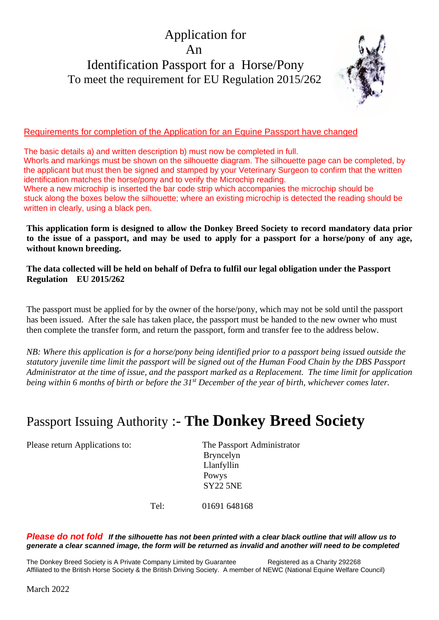## Application for An Identification Passport for a Horse/Pony To meet the requirement for EU Regulation 2015/262



## Requirements for completion of the Application for an Equine Passport have changed

 The basic details a) and written description b) must now be completed in full. Whorls and markings must be shown on the silhouette diagram. The silhouette page can be completed, by the applicant but must then be signed and stamped by your Veterinary Surgeon to confirm that the written identification matches the horse/pony and to verify the Microchip reading. Where a new microchip is inserted the bar code strip which accompanies the microchip should be stuck along the boxes below the silhouette; where an existing microchip is detected the reading should be written in clearly, using a black pen.

**This application form is designed to allow the Donkey Breed Society to record mandatory data prior to the issue of a passport, and may be used to apply for a passport for a horse/pony of any age, without known breeding.** 

**The data collected will be held on behalf of Defra to fulfil our legal obligation under the Passport Regulation EU 2015/262**

The passport must be applied for by the owner of the horse/pony, which may not be sold until the passport has been issued. After the sale has taken place, the passport must be handed to the new owner who must then complete the transfer form, and return the passport, form and transfer fee to the address below.

*NB: Where this application is for a horse/pony being identified prior to a passport being issued outside the statutory juvenile time limit the passport will be signed out of the Human Food Chain by the DBS Passport Administrator at the time of issue, and the passport marked as a Replacement. The time limit for application being within 6 months of birth or before the 31st December of the year of birth, whichever comes later.*

# Passport Issuing Authority :- **The Donkey Breed Society**

Please return Applications to: The Passport Administrator

 Bryncelyn Llanfyllin Powys SY22 5NE

Tel: 01691 648168

*Please do not fold If the silhouette has not been printed with a clear black outline that will allow us to generate a clear scanned image, the form will be returned as invalid and another will need to be completed*

The Donkey Breed Society is A Private Company Limited by Guarantee Registered as a Charity 292268 Affiliated to the British Horse Society & the British Driving Society. A member of NEWC (National Equine Welfare Council)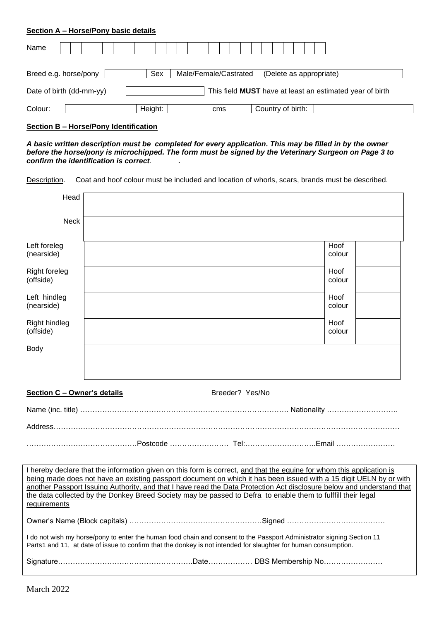## **Section A – Horse/Pony basic details**

| Name                     |  |  |  |  |                                                         |  |  |         |  |  |  |  |  |  |     |  |                   |  |  |  |  |  |                                                                 |  |  |
|--------------------------|--|--|--|--|---------------------------------------------------------|--|--|---------|--|--|--|--|--|--|-----|--|-------------------|--|--|--|--|--|-----------------------------------------------------------------|--|--|
|                          |  |  |  |  |                                                         |  |  |         |  |  |  |  |  |  |     |  |                   |  |  |  |  |  |                                                                 |  |  |
| Breed e.g. horse/pony    |  |  |  |  | Male/Female/Castrated<br>(Delete as appropriate)<br>Sex |  |  |         |  |  |  |  |  |  |     |  |                   |  |  |  |  |  |                                                                 |  |  |
| Date of birth (dd-mm-yy) |  |  |  |  |                                                         |  |  |         |  |  |  |  |  |  |     |  |                   |  |  |  |  |  | This field <b>MUST</b> have at least an estimated year of birth |  |  |
| Colour:                  |  |  |  |  |                                                         |  |  | Height: |  |  |  |  |  |  | cms |  | Country of birth: |  |  |  |  |  |                                                                 |  |  |

## **Section B – Horse/Pony Identification**

*A basic written description must be completed for every application. This may be filled in by the owner before the horse/pony is microchipped. The form must be signed by the Veterinary Surgeon on Page 3 to confirm the identification is correct. .* 

Description. Coat and hoof colour must be included and location of whorls, scars, brands must be described.

| Head                              |                                                                                                                                                                                                                                           |                |
|-----------------------------------|-------------------------------------------------------------------------------------------------------------------------------------------------------------------------------------------------------------------------------------------|----------------|
|                                   |                                                                                                                                                                                                                                           |                |
| <b>Neck</b>                       |                                                                                                                                                                                                                                           |                |
|                                   |                                                                                                                                                                                                                                           | Hoof           |
| Left foreleg<br>(nearside)        |                                                                                                                                                                                                                                           | colour         |
| <b>Right foreleg</b><br>(offside) |                                                                                                                                                                                                                                           | Hoof<br>colour |
|                                   |                                                                                                                                                                                                                                           |                |
| Left hindleg<br>(nearside)        |                                                                                                                                                                                                                                           | Hoof<br>colour |
|                                   |                                                                                                                                                                                                                                           |                |
| Right hindleg<br>(offside)        |                                                                                                                                                                                                                                           | Hoof<br>colour |
| Body                              |                                                                                                                                                                                                                                           |                |
|                                   |                                                                                                                                                                                                                                           |                |
|                                   |                                                                                                                                                                                                                                           |                |
| Section C - Owner's details       | Breeder? Yes/No                                                                                                                                                                                                                           |                |
|                                   |                                                                                                                                                                                                                                           |                |
|                                   |                                                                                                                                                                                                                                           |                |
|                                   |                                                                                                                                                                                                                                           |                |
|                                   |                                                                                                                                                                                                                                           |                |
|                                   | I hereby declare that the information given on this form is correct, and that the equine for whom this application is                                                                                                                     |                |
|                                   | being made does not have an existing passport document on which it has been issued with a 15 digit UELN by or with                                                                                                                        |                |
|                                   | another Passport Issuing Authority, and that I have read the Data Protection Act disclosure below and understand that<br>the data collected by the Donkey Breed Society may be passed to Defra to enable them to fulffill their legal     |                |
| requirements                      |                                                                                                                                                                                                                                           |                |
|                                   |                                                                                                                                                                                                                                           |                |
|                                   | I do not wish my horse/pony to enter the human food chain and consent to the Passport Administrator signing Section 11<br>Parts1 and 11, at date of issue to confirm that the donkey is not intended for slaughter for human consumption. |                |
|                                   |                                                                                                                                                                                                                                           |                |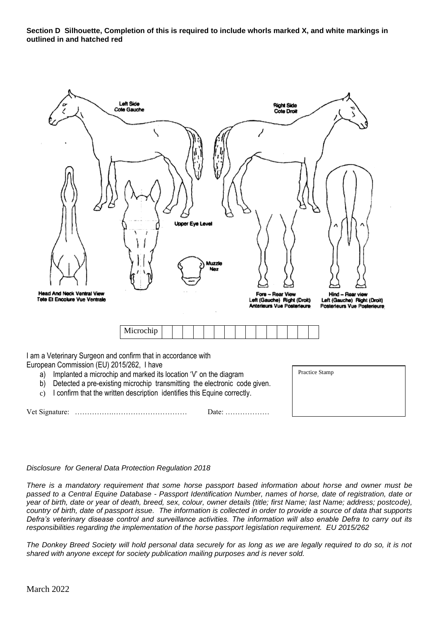**Section D Silhouette, Completion of this is required to include whorls marked X, and white markings in outlined in and hatched red**



Vet Signature: …………….………………………… Date: ………………

## *Disclosure for General Data Protection Regulation 2018*

*There is a mandatory requirement that some horse passport based information about horse and owner must be passed to a Central Equine Database - Passport Identification Number, names of horse, date of registration, date or year of birth, date or year of death, breed, sex, colour, owner details (title; first Name; last Name; address; postcode), country of birth, date of passport issue. The information is collected in order to provide a source of data that supports Defra's veterinary disease control and surveillance activities. The information will also enable Defra to carry out its responsibilities regarding the implementation of the horse passport legislation requirement. EU 2015/262*

*The Donkey Breed Society will hold personal data securely for as long as we are legally required to do so, it is not shared with anyone except for society publication mailing purposes and is never sold.*